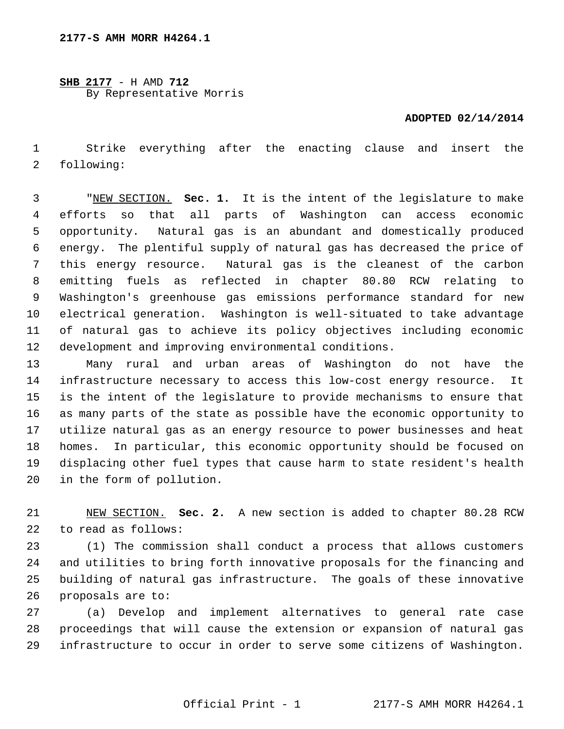**SHB 2177** - H AMD **712** By Representative Morris

## **ADOPTED 02/14/2014**

 1 Strike everything after the enacting clause and insert the 2 following:

 3 "NEW SECTION. **Sec. 1.** It is the intent of the legislature to make 4 efforts so that all parts of Washington can access economic 5 opportunity. Natural gas is an abundant and domestically produced 6 energy. The plentiful supply of natural gas has decreased the price of 7 this energy resource. Natural gas is the cleanest of the carbon 8 emitting fuels as reflected in chapter 80.80 RCW relating to 9 Washington's greenhouse gas emissions performance standard for new 10 electrical generation. Washington is well-situated to take advantage 11 of natural gas to achieve its policy objectives including economic 12 development and improving environmental conditions.

13 Many rural and urban areas of Washington do not have the 14 infrastructure necessary to access this low-cost energy resource. It 15 is the intent of the legislature to provide mechanisms to ensure that 16 as many parts of the state as possible have the economic opportunity to 17 utilize natural gas as an energy resource to power businesses and heat 18 homes. In particular, this economic opportunity should be focused on 19 displacing other fuel types that cause harm to state resident's health 20 in the form of pollution.

21 NEW SECTION. **Sec. 2.** A new section is added to chapter 80.28 RCW 22 to read as follows:

23 (1) The commission shall conduct a process that allows customers 24 and utilities to bring forth innovative proposals for the financing and 25 building of natural gas infrastructure. The goals of these innovative 26 proposals are to:

27 (a) Develop and implement alternatives to general rate case 28 proceedings that will cause the extension or expansion of natural gas 29 infrastructure to occur in order to serve some citizens of Washington.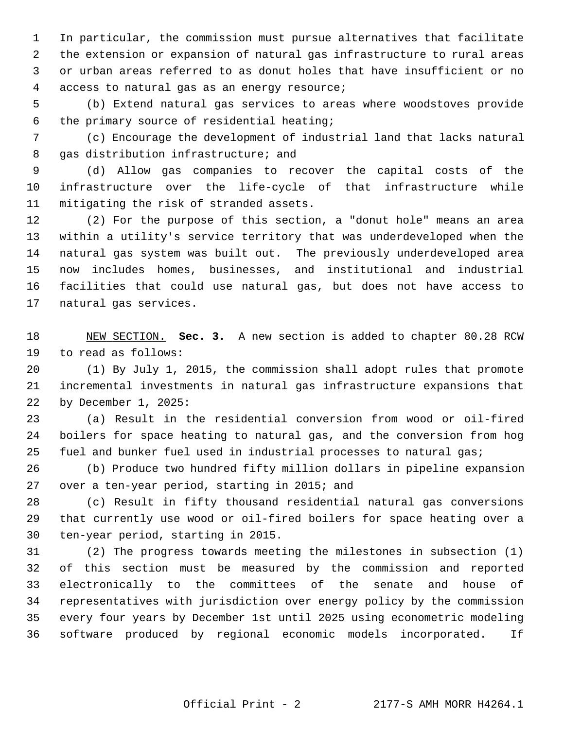1 In particular, the commission must pursue alternatives that facilitate 2 the extension or expansion of natural gas infrastructure to rural areas 3 or urban areas referred to as donut holes that have insufficient or no 4 access to natural gas as an energy resource;

 5 (b) Extend natural gas services to areas where woodstoves provide 6 the primary source of residential heating;

 7 (c) Encourage the development of industrial land that lacks natural 8 gas distribution infrastructure; and

 9 (d) Allow gas companies to recover the capital costs of the 10 infrastructure over the life-cycle of that infrastructure while 11 mitigating the risk of stranded assets.

12 (2) For the purpose of this section, a "donut hole" means an area 13 within a utility's service territory that was underdeveloped when the 14 natural gas system was built out. The previously underdeveloped area 15 now includes homes, businesses, and institutional and industrial 16 facilities that could use natural gas, but does not have access to 17 natural gas services.

18 NEW SECTION. **Sec. 3.** A new section is added to chapter 80.28 RCW 19 to read as follows:

20 (1) By July 1, 2015, the commission shall adopt rules that promote 21 incremental investments in natural gas infrastructure expansions that 22 by December 1, 2025:

23 (a) Result in the residential conversion from wood or oil-fired 24 boilers for space heating to natural gas, and the conversion from hog 25 fuel and bunker fuel used in industrial processes to natural gas;

26 (b) Produce two hundred fifty million dollars in pipeline expansion 27 over a ten-year period, starting in 2015; and

28 (c) Result in fifty thousand residential natural gas conversions 29 that currently use wood or oil-fired boilers for space heating over a 30 ten-year period, starting in 2015.

31 (2) The progress towards meeting the milestones in subsection (1) 32 of this section must be measured by the commission and reported 33 electronically to the committees of the senate and house of 34 representatives with jurisdiction over energy policy by the commission 35 every four years by December 1st until 2025 using econometric modeling 36 software produced by regional economic models incorporated. If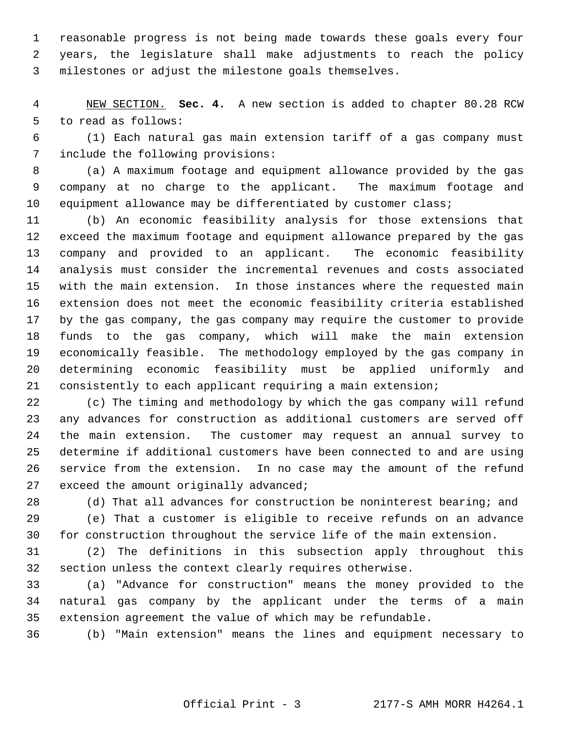1 reasonable progress is not being made towards these goals every four 2 years, the legislature shall make adjustments to reach the policy 3 milestones or adjust the milestone goals themselves.

 4 NEW SECTION. **Sec. 4.** A new section is added to chapter 80.28 RCW 5 to read as follows:

 6 (1) Each natural gas main extension tariff of a gas company must 7 include the following provisions:

 8 (a) A maximum footage and equipment allowance provided by the gas 9 company at no charge to the applicant. The maximum footage and 10 equipment allowance may be differentiated by customer class;

11 (b) An economic feasibility analysis for those extensions that 12 exceed the maximum footage and equipment allowance prepared by the gas 13 company and provided to an applicant. The economic feasibility 14 analysis must consider the incremental revenues and costs associated 15 with the main extension. In those instances where the requested main 16 extension does not meet the economic feasibility criteria established 17 by the gas company, the gas company may require the customer to provide 18 funds to the gas company, which will make the main extension 19 economically feasible. The methodology employed by the gas company in 20 determining economic feasibility must be applied uniformly and 21 consistently to each applicant requiring a main extension;

22 (c) The timing and methodology by which the gas company will refund 23 any advances for construction as additional customers are served off 24 the main extension. The customer may request an annual survey to 25 determine if additional customers have been connected to and are using 26 service from the extension. In no case may the amount of the refund 27 exceed the amount originally advanced;

28 (d) That all advances for construction be noninterest bearing; and

29 (e) That a customer is eligible to receive refunds on an advance 30 for construction throughout the service life of the main extension.

31 (2) The definitions in this subsection apply throughout this 32 section unless the context clearly requires otherwise.

33 (a) "Advance for construction" means the money provided to the 34 natural gas company by the applicant under the terms of a main 35 extension agreement the value of which may be refundable.

36 (b) "Main extension" means the lines and equipment necessary to